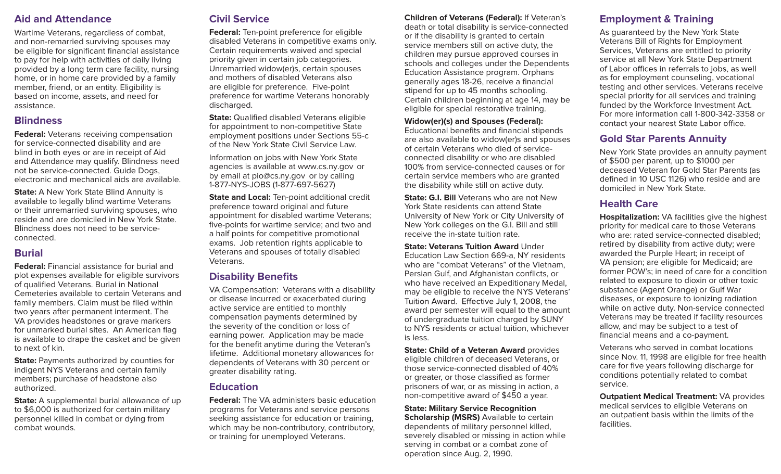#### **Aid and Attendance**

Wartime Veterans, regardless of combat, and non-remarried surviving spouses may be eligible for significant financial assistance to pay for help with activities of daily living provided by a long term care facility, nursing home, or in home care provided by a family member, friend, or an entity. Eligibility is based on income, assets, and need for assistance.

#### **Blindness**

**Federal:** Veterans receiving compensation for service-connected disability and are blind in both eyes or are in receipt of Aid and Attendance may qualify. Blindness need not be service-connected. Guide Dogs, electronic and mechanical aids are available.

**State:** A New York State Blind Annuity is available to legally blind wartime Veterans or their unremarried surviving spouses, who reside and are domiciled in New York State. Blindness does not need to be serviceconnected.

#### **Burial**

**Federal:** Financial assistance for burial and plot expenses available for eligible survivors of qualified Veterans. Burial in National Cemeteries available to certain Veterans and family members. Claim must be filed within two years after permanent interment. The VA provides headstones or grave markers for unmarked burial sites. An American flag is available to drape the casket and be given to next of kin.

**State:** Payments authorized by counties for indigent NYS Veterans and certain family members; purchase of headstone also authorized.

**State:** A supplemental burial allowance of up to \$6,000 is authorized for certain military personnel killed in combat or dying from combat wounds.

# **Civil Service**

**Federal:** Ten-point preference for eligible disabled Veterans in competitive exams only. Certain requirements waived and special priority given in certain job categories. Unremarried widow(er)s, certain spouses and mothers of disabled Veterans also are eligible for preference. Five-point preference for wartime Veterans honorably discharged.

**State:** Qualified disabled Veterans eligible for appointment to non-competitive State employment positions under Sections 55-c of the New York State Civil Service Law.

Information on jobs with New York State agencies is available at www.cs.ny.gov or by email at pio@cs.ny.gov or by calling 1-877-NYS-JOBS (1-877-697-5627)

**State and Local:** Ten-point additional credit preference toward original and future appointment for disabled wartime Veterans; five-points for wartime service; and two and a half points for competitive promotional exams. Job retention rights applicable to Veterans and spouses of totally disabled **Veterans** 

#### **Disability Benefits**

VA Compensation: Veterans with a disability or disease incurred or exacerbated during active service are entitled to monthly compensation payments determined by the severity of the condition or loss of earning power. Application may be made for the benefit anytime during the Veteran's lifetime. Additional monetary allowances for dependents of Veterans with 30 percent or greater disability rating.

#### **Education**

**Federal:** The VA administers basic education programs for Veterans and service persons seeking assistance for education or training, which may be non-contributory, contributory, or training for unemployed Veterans.

**Children of Veterans (Federal):** If Veteran's death or total disability is service-connected or if the disability is granted to certain service members still on active duty, the children may pursue approved courses in schools and colleges under the Dependents Education Assistance program. Orphans generally ages 18-26, receive a financial stipend for up to 45 months schooling. Certain children beginning at age 14, may be eligible for special restorative training.

#### **Widow(er)(s) and Spouses (Federal):**

Educational benefits and financial stipends are also available to widow(er)s and spouses of certain Veterans who died of serviceconnected disability or who are disabled 100% from service-connected causes or for certain service members who are granted the disability while still on active duty.

**State: G.I. Bill** Veterans who are not New York State residents can attend State University of New York or City University of New York colleges on the G.I. Bill and still receive the in-state tuition rate.

#### **State: Veterans Tuition Award Under** Education Law Section 669-a, NY residents who are "combat Veterans" of the Vietnam, Persian Gulf, and Afghanistan conflicts, or who have received an Expeditionary Medal, may be eligible to receive the NYS Veterans' Tuition Award. Effective July 1, 2008, the award per semester will equal to the amount of undergraduate tuition charged by SUNY to NYS residents or actual tuition, whichever is less.

**State: Child of a Veteran Award** provides eligible children of deceased Veterans, or those service-connected disabled of 40% or greater, or those classified as former prisoners of war, or as missing in action, a non-competitive award of \$450 a year.

**State: Military Service Recognition Scholarship (MSRS)** Available to certain dependents of military personnel killed, severely disabled or missing in action while serving in combat or a combat zone of operation since Aug. 2, 1990.

## **Employment & Training**

As guaranteed by the New York State Veterans Bill of Rights for Employment Services, Veterans are entitled to priority service at all New York State Department of Labor offices in referrals to jobs, as well as for employment counseling, vocational testing and other services. Veterans receive special priority for all services and training funded by the Workforce Investment Act. For more information call 1-800-342-3358 or contact your nearest State Labor office.

#### **Gold Star Parents Annuity**

New York State provides an annuity payment of \$500 per parent, up to \$1000 per deceased Veteran for Gold Star Parents (as defined in 10 USC 1126) who reside and are domiciled in New York State.

#### **Health Care**

**Hospitalization:** VA facilities give the highest priority for medical care to those Veterans who are: rated service-connected disabled; retired by disability from active duty; were awarded the Purple Heart; in receipt of VA pension; are eligible for Medicaid; are former POW's; in need of care for a condition related to exposure to dioxin or other toxic substance (Agent Orange) or Gulf War diseases, or exposure to ionizing radiation while on active duty. Non-service connected Veterans may be treated if facility resources allow, and may be subject to a test of financial means and a co-payment.

Veterans who served in combat locations since Nov. 11, 1998 are eligible for free health care for five years following discharge for conditions potentially related to combat service.

**Outpatient Medical Treatment:** VA provides medical services to eligible Veterans on an outpatient basis within the limits of the facilities.